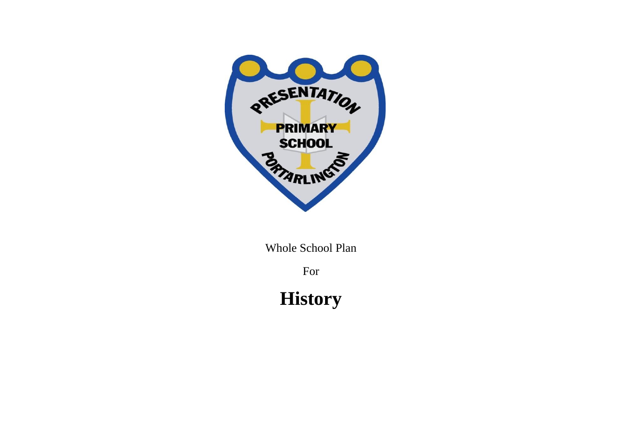

Whole School Plan

For

**History**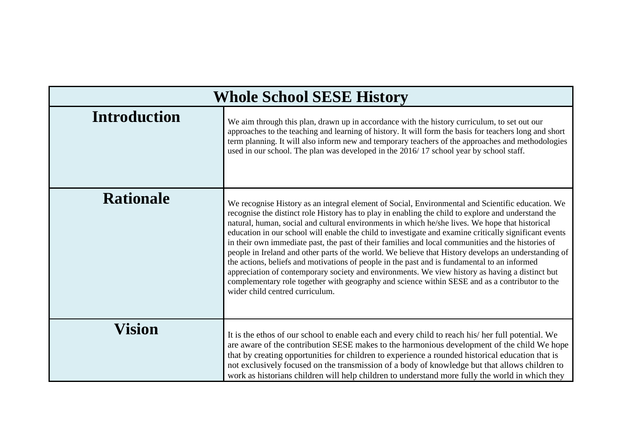| <b>Whole School SESE History</b> |                                                                                                                                                                                                                                                                                                                                                                                                                                                                                                                                                                                                                                                                                                                                                                                                                                                                                                                                                                             |  |
|----------------------------------|-----------------------------------------------------------------------------------------------------------------------------------------------------------------------------------------------------------------------------------------------------------------------------------------------------------------------------------------------------------------------------------------------------------------------------------------------------------------------------------------------------------------------------------------------------------------------------------------------------------------------------------------------------------------------------------------------------------------------------------------------------------------------------------------------------------------------------------------------------------------------------------------------------------------------------------------------------------------------------|--|
| <b>Introduction</b>              | We aim through this plan, drawn up in accordance with the history curriculum, to set out our<br>approaches to the teaching and learning of history. It will form the basis for teachers long and short<br>term planning. It will also inform new and temporary teachers of the approaches and methodologies<br>used in our school. The plan was developed in the 2016/17 school year by school staff.                                                                                                                                                                                                                                                                                                                                                                                                                                                                                                                                                                       |  |
| <b>Rationale</b>                 | We recognise History as an integral element of Social, Environmental and Scientific education. We<br>recognise the distinct role History has to play in enabling the child to explore and understand the<br>natural, human, social and cultural environments in which he/she lives. We hope that historical<br>education in our school will enable the child to investigate and examine critically significant events<br>in their own immediate past, the past of their families and local communities and the histories of<br>people in Ireland and other parts of the world. We believe that History develops an understanding of<br>the actions, beliefs and motivations of people in the past and is fundamental to an informed<br>appreciation of contemporary society and environments. We view history as having a distinct but<br>complementary role together with geography and science within SESE and as a contributor to the<br>wider child centred curriculum. |  |
| <b>Vision</b>                    | It is the ethos of our school to enable each and every child to reach his/her full potential. We<br>are aware of the contribution SESE makes to the harmonious development of the child We hope<br>that by creating opportunities for children to experience a rounded historical education that is<br>not exclusively focused on the transmission of a body of knowledge but that allows children to<br>work as historians children will help children to understand more fully the world in which they                                                                                                                                                                                                                                                                                                                                                                                                                                                                    |  |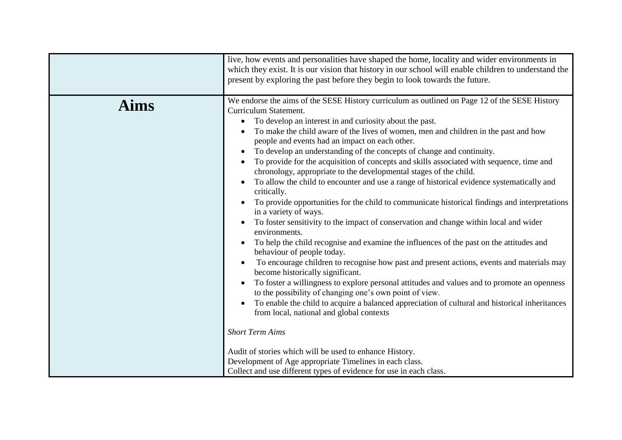| live, how events and personalities have shaped the home, locality and wider environments in<br>which they exist. It is our vision that history in our school will enable children to understand the<br>present by exploring the past before they begin to look towards the future.                                                                                                                                                                                                                                                                                                                                                                                                                                                                                                                                                                                                                                                                                                                                                                                                                                                                                                                                                                                                                                                                                                                                                                                                                                                                                                                                                                                                                                                                                            |
|-------------------------------------------------------------------------------------------------------------------------------------------------------------------------------------------------------------------------------------------------------------------------------------------------------------------------------------------------------------------------------------------------------------------------------------------------------------------------------------------------------------------------------------------------------------------------------------------------------------------------------------------------------------------------------------------------------------------------------------------------------------------------------------------------------------------------------------------------------------------------------------------------------------------------------------------------------------------------------------------------------------------------------------------------------------------------------------------------------------------------------------------------------------------------------------------------------------------------------------------------------------------------------------------------------------------------------------------------------------------------------------------------------------------------------------------------------------------------------------------------------------------------------------------------------------------------------------------------------------------------------------------------------------------------------------------------------------------------------------------------------------------------------|
| We endorse the aims of the SESE History curriculum as outlined on Page 12 of the SESE History<br>Curriculum Statement.<br>To develop an interest in and curiosity about the past.<br>$\bullet$<br>To make the child aware of the lives of women, men and children in the past and how<br>people and events had an impact on each other.<br>To develop an understanding of the concepts of change and continuity.<br>$\bullet$<br>To provide for the acquisition of concepts and skills associated with sequence, time and<br>chronology, appropriate to the developmental stages of the child.<br>To allow the child to encounter and use a range of historical evidence systematically and<br>$\bullet$<br>critically.<br>To provide opportunities for the child to communicate historical findings and interpretations<br>in a variety of ways.<br>To foster sensitivity to the impact of conservation and change within local and wider<br>$\bullet$<br>environments.<br>To help the child recognise and examine the influences of the past on the attitudes and<br>behaviour of people today.<br>To encourage children to recognise how past and present actions, events and materials may<br>become historically significant.<br>To foster a willingness to explore personal attitudes and values and to promote an openness<br>$\bullet$<br>to the possibility of changing one's own point of view.<br>To enable the child to acquire a balanced appreciation of cultural and historical inheritances<br>from local, national and global contexts<br><b>Short Term Aims</b><br>Audit of stories which will be used to enhance History.<br>Development of Age appropriate Timelines in each class.<br>Collect and use different types of evidence for use in each class. |
|                                                                                                                                                                                                                                                                                                                                                                                                                                                                                                                                                                                                                                                                                                                                                                                                                                                                                                                                                                                                                                                                                                                                                                                                                                                                                                                                                                                                                                                                                                                                                                                                                                                                                                                                                                               |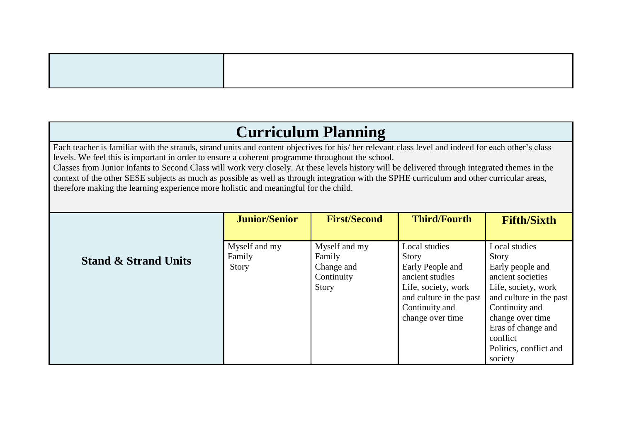## **Curriculum Planning**

Each teacher is familiar with the strands, strand units and content objectives for his/ her relevant class level and indeed for each other's class levels. We feel this is important in order to ensure a coherent programme throughout the school.

Classes from Junior Infants to Second Class will work very closely. At these levels history will be delivered through integrated themes in the context of the other SESE subjects as much as possible as well as through integration with the SPHE curriculum and other curricular areas, therefore making the learning experience more holistic and meaningful for the child.

|                                 | <b>Junior/Senior</b> | <b>First/Second</b> | <b>Third/Fourth</b>     | <b>Fifth/Sixth</b>      |
|---------------------------------|----------------------|---------------------|-------------------------|-------------------------|
|                                 |                      |                     |                         |                         |
|                                 | Myself and my        | Myself and my       | Local studies           | Local studies           |
| <b>Stand &amp; Strand Units</b> | Family               | Family              | Story                   | <b>Story</b>            |
|                                 | Story                | Change and          | Early People and        | Early people and        |
|                                 |                      | Continuity          | ancient studies         | ancient societies       |
|                                 |                      | Story               | Life, society, work     | Life, society, work     |
|                                 |                      |                     | and culture in the past | and culture in the past |
|                                 |                      |                     | Continuity and          | Continuity and          |
|                                 |                      |                     | change over time        | change over time        |
|                                 |                      |                     |                         | Eras of change and      |
|                                 |                      |                     |                         | conflict                |
|                                 |                      |                     |                         | Politics, conflict and  |
|                                 |                      |                     |                         | society                 |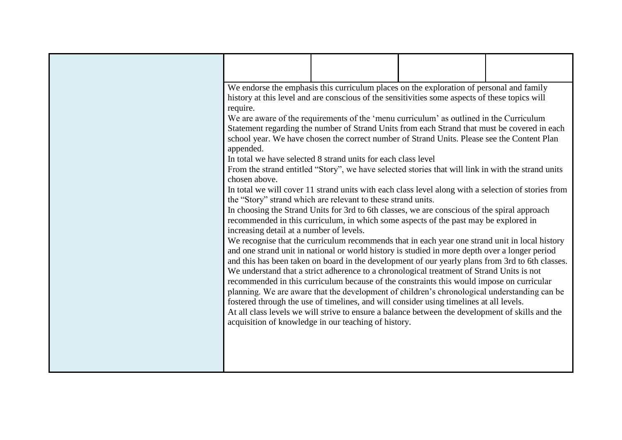|                                          | We endorse the emphasis this curriculum places on the exploration of personal and family            |  |
|------------------------------------------|-----------------------------------------------------------------------------------------------------|--|
|                                          | history at this level and are conscious of the sensitivities some aspects of these topics will      |  |
| require.                                 |                                                                                                     |  |
|                                          | We are aware of the requirements of the 'menu curriculum' as outlined in the Curriculum             |  |
|                                          | Statement regarding the number of Strand Units from each Strand that must be covered in each        |  |
|                                          | school year. We have chosen the correct number of Strand Units. Please see the Content Plan         |  |
| appended.                                |                                                                                                     |  |
|                                          | In total we have selected 8 strand units for each class level                                       |  |
| chosen above.                            | From the strand entitled "Story", we have selected stories that will link in with the strand units  |  |
|                                          | In total we will cover 11 strand units with each class level along with a selection of stories from |  |
|                                          | the "Story" strand which are relevant to these strand units.                                        |  |
|                                          | In choosing the Strand Units for 3rd to 6th classes, we are conscious of the spiral approach        |  |
|                                          | recommended in this curriculum, in which some aspects of the past may be explored in                |  |
| increasing detail at a number of levels. |                                                                                                     |  |
|                                          | We recognise that the curriculum recommends that in each year one strand unit in local history      |  |
|                                          | and one strand unit in national or world history is studied in more depth over a longer period      |  |
|                                          | and this has been taken on board in the development of our yearly plans from 3rd to 6th classes.    |  |
|                                          | We understand that a strict adherence to a chronological treatment of Strand Units is not           |  |
|                                          | recommended in this curriculum because of the constraints this would impose on curricular           |  |
|                                          | planning. We are aware that the development of children's chronological understanding can be        |  |
|                                          | fostered through the use of timelines, and will consider using timelines at all levels.             |  |
|                                          | At all class levels we will strive to ensure a balance between the development of skills and the    |  |
|                                          | acquisition of knowledge in our teaching of history.                                                |  |
|                                          |                                                                                                     |  |
|                                          |                                                                                                     |  |
|                                          |                                                                                                     |  |
|                                          |                                                                                                     |  |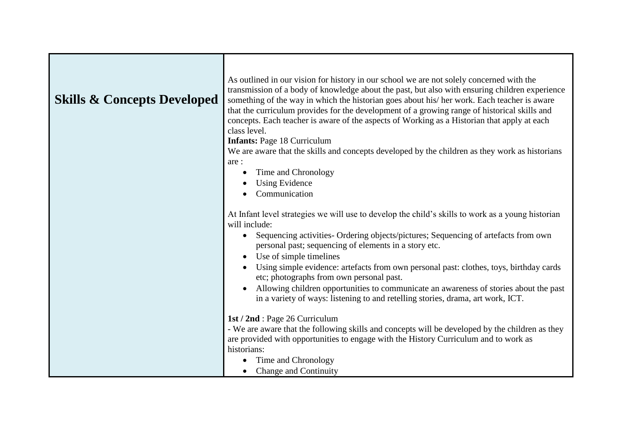| <b>Skills &amp; Concepts Developed</b> | As outlined in our vision for history in our school we are not solely concerned with the<br>transmission of a body of knowledge about the past, but also with ensuring children experience<br>something of the way in which the historian goes about his/ her work. Each teacher is aware<br>that the curriculum provides for the development of a growing range of historical skills and<br>concepts. Each teacher is aware of the aspects of Working as a Historian that apply at each<br>class level. |
|----------------------------------------|----------------------------------------------------------------------------------------------------------------------------------------------------------------------------------------------------------------------------------------------------------------------------------------------------------------------------------------------------------------------------------------------------------------------------------------------------------------------------------------------------------|
|                                        | <b>Infants: Page 18 Curriculum</b><br>We are aware that the skills and concepts developed by the children as they work as historians                                                                                                                                                                                                                                                                                                                                                                     |
|                                        | are:                                                                                                                                                                                                                                                                                                                                                                                                                                                                                                     |
|                                        | Time and Chronology                                                                                                                                                                                                                                                                                                                                                                                                                                                                                      |
|                                        | <b>Using Evidence</b>                                                                                                                                                                                                                                                                                                                                                                                                                                                                                    |
|                                        | Communication                                                                                                                                                                                                                                                                                                                                                                                                                                                                                            |
|                                        | At Infant level strategies we will use to develop the child's skills to work as a young historian<br>will include:                                                                                                                                                                                                                                                                                                                                                                                       |
|                                        | Sequencing activities- Ordering objects/pictures; Sequencing of artefacts from own<br>$\bullet$<br>personal past; sequencing of elements in a story etc.                                                                                                                                                                                                                                                                                                                                                 |
|                                        | Use of simple timelines<br>Using simple evidence: artefacts from own personal past: clothes, toys, birthday cards<br>etc; photographs from own personal past.                                                                                                                                                                                                                                                                                                                                            |
|                                        | Allowing children opportunities to communicate an awareness of stories about the past<br>in a variety of ways: listening to and retelling stories, drama, art work, ICT.                                                                                                                                                                                                                                                                                                                                 |
|                                        | 1st / 2nd : Page 26 Curriculum                                                                                                                                                                                                                                                                                                                                                                                                                                                                           |
|                                        | - We are aware that the following skills and concepts will be developed by the children as they                                                                                                                                                                                                                                                                                                                                                                                                          |
|                                        | are provided with opportunities to engage with the History Curriculum and to work as                                                                                                                                                                                                                                                                                                                                                                                                                     |
|                                        | historians:<br>Time and Chronology                                                                                                                                                                                                                                                                                                                                                                                                                                                                       |
|                                        | Change and Continuity                                                                                                                                                                                                                                                                                                                                                                                                                                                                                    |
|                                        |                                                                                                                                                                                                                                                                                                                                                                                                                                                                                                          |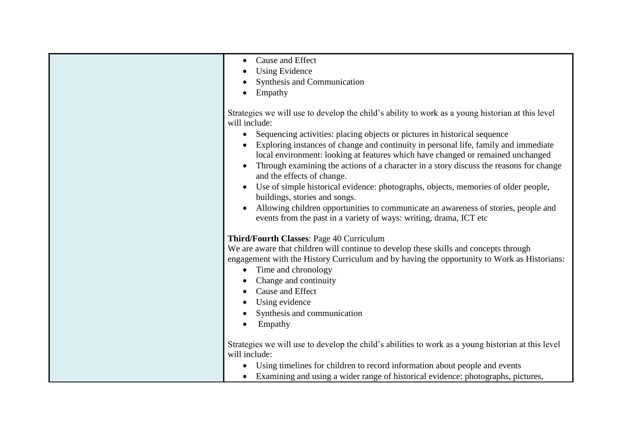| Cause and Effect<br>$\bullet$                                                                                        |
|----------------------------------------------------------------------------------------------------------------------|
| <b>Using Evidence</b>                                                                                                |
| Synthesis and Communication                                                                                          |
| Empathy                                                                                                              |
|                                                                                                                      |
| Strategies we will use to develop the child's ability to work as a young historian at this level<br>will include:    |
| Sequencing activities: placing objects or pictures in historical sequence                                            |
| Exploring instances of change and continuity in personal life, family and immediate                                  |
| local environment: looking at features which have changed or remained unchanged                                      |
| Through examining the actions of a character in a story discuss the reasons for change<br>and the effects of change. |
| Use of simple historical evidence: photographs, objects, memories of older people,                                   |
| buildings, stories and songs.                                                                                        |
| Allowing children opportunities to communicate an awareness of stories, people and                                   |
| events from the past in a variety of ways: writing, drama, ICT etc                                                   |
|                                                                                                                      |
| Third/Fourth Classes: Page 40 Curriculum                                                                             |
| We are aware that children will continue to develop these skills and concepts through                                |
| engagement with the History Curriculum and by having the opportunity to Work as Historians:                          |
|                                                                                                                      |
| Time and chronology<br>$\bullet$                                                                                     |
| Change and continuity                                                                                                |
| Cause and Effect                                                                                                     |
| Using evidence                                                                                                       |
| Synthesis and communication                                                                                          |
| Empathy                                                                                                              |
|                                                                                                                      |
| Strategies we will use to develop the child's abilities to work as a young historian at this level                   |
| will include:                                                                                                        |
| Using timelines for children to record information about people and events                                           |
| Examining and using a wider range of historical evidence: photographs, pictures,                                     |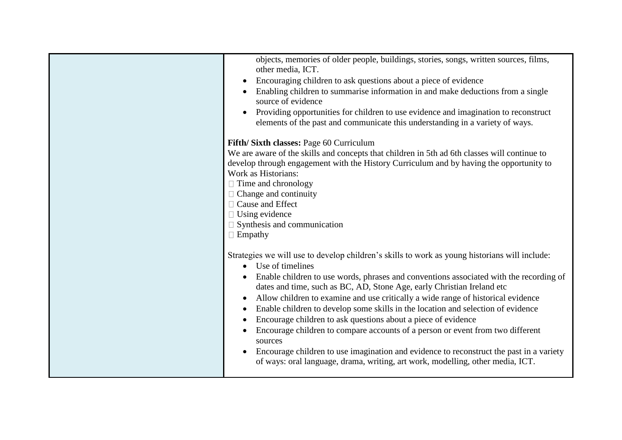| objects, memories of older people, buildings, stories, songs, written sources, films,<br>other media, ICT.                                                           |
|----------------------------------------------------------------------------------------------------------------------------------------------------------------------|
| Encouraging children to ask questions about a piece of evidence                                                                                                      |
| Enabling children to summarise information in and make deductions from a single<br>source of evidence                                                                |
| Providing opportunities for children to use evidence and imagination to reconstruct<br>elements of the past and communicate this understanding in a variety of ways. |
| Fifth/Sixth classes: Page 60 Curriculum                                                                                                                              |
| We are aware of the skills and concepts that children in 5th ad 6th classes will continue to                                                                         |
| develop through engagement with the History Curriculum and by having the opportunity to                                                                              |
| Work as Historians:                                                                                                                                                  |
| $\Box$ Time and chronology                                                                                                                                           |
| $\Box$ Change and continuity<br>□ Cause and Effect                                                                                                                   |
|                                                                                                                                                                      |
| $\Box$ Using evidence<br>$\Box$ Synthesis and communication                                                                                                          |
| $\Box$ Empathy                                                                                                                                                       |
|                                                                                                                                                                      |
| Strategies we will use to develop children's skills to work as young historians will include:                                                                        |
| Use of timelines<br>$\bullet$                                                                                                                                        |
| Enable children to use words, phrases and conventions associated with the recording of<br>dates and time, such as BC, AD, Stone Age, early Christian Ireland etc     |
| Allow children to examine and use critically a wide range of historical evidence<br>$\bullet$                                                                        |
| Enable children to develop some skills in the location and selection of evidence                                                                                     |
| Encourage children to ask questions about a piece of evidence<br>$\bullet$                                                                                           |
| Encourage children to compare accounts of a person or event from two different<br>sources                                                                            |
| Encourage children to use imagination and evidence to reconstruct the past in a variety                                                                              |
| of ways: oral language, drama, writing, art work, modelling, other media, ICT.                                                                                       |
|                                                                                                                                                                      |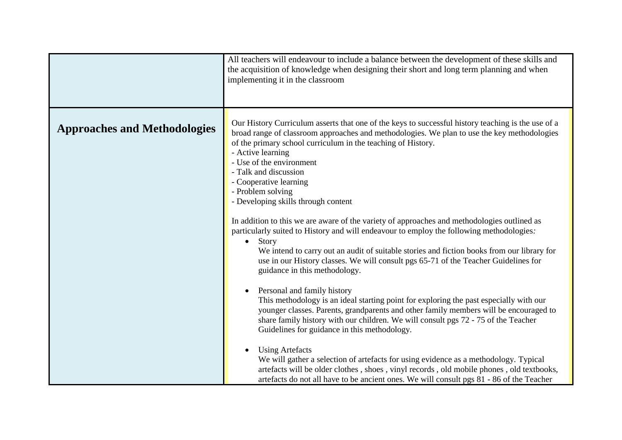|                                     | All teachers will endeavour to include a balance between the development of these skills and<br>the acquisition of knowledge when designing their short and long term planning and when<br>implementing it in the classroom                                                                                                                                                                                                                                                                                                                                                                                                                                                                                                                                                                                                                                                                                                                                                                                                                                                                                                                                                                                                                                                                                                                                                                                                                                                                                                                |
|-------------------------------------|--------------------------------------------------------------------------------------------------------------------------------------------------------------------------------------------------------------------------------------------------------------------------------------------------------------------------------------------------------------------------------------------------------------------------------------------------------------------------------------------------------------------------------------------------------------------------------------------------------------------------------------------------------------------------------------------------------------------------------------------------------------------------------------------------------------------------------------------------------------------------------------------------------------------------------------------------------------------------------------------------------------------------------------------------------------------------------------------------------------------------------------------------------------------------------------------------------------------------------------------------------------------------------------------------------------------------------------------------------------------------------------------------------------------------------------------------------------------------------------------------------------------------------------------|
| <b>Approaches and Methodologies</b> | Our History Curriculum asserts that one of the keys to successful history teaching is the use of a<br>broad range of classroom approaches and methodologies. We plan to use the key methodologies<br>of the primary school curriculum in the teaching of History.<br>- Active learning<br>- Use of the environment<br>- Talk and discussion<br>- Cooperative learning<br>- Problem solving<br>- Developing skills through content<br>In addition to this we are aware of the variety of approaches and methodologies outlined as<br>particularly suited to History and will endeavour to employ the following methodologies.<br>Story<br>$\bullet$<br>We intend to carry out an audit of suitable stories and fiction books from our library for<br>use in our History classes. We will consult pgs 65-71 of the Teacher Guidelines for<br>guidance in this methodology.<br>Personal and family history<br>This methodology is an ideal starting point for exploring the past especially with our<br>younger classes. Parents, grandparents and other family members will be encouraged to<br>share family history with our children. We will consult pgs 72 - 75 of the Teacher<br>Guidelines for guidance in this methodology.<br><b>Using Artefacts</b><br>We will gather a selection of artefacts for using evidence as a methodology. Typical<br>artefacts will be older clothes, shoes, vinyl records, old mobile phones, old textbooks,<br>artefacts do not all have to be ancient ones. We will consult pgs 81 - 86 of the Teacher |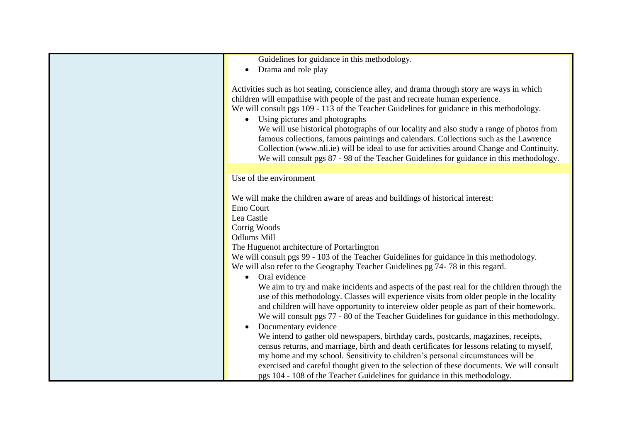| Guidelines for guidance in this methodology.                                                |
|---------------------------------------------------------------------------------------------|
| Drama and role play<br>$\bullet$                                                            |
|                                                                                             |
| Activities such as hot seating, conscience alley, and drama through story are ways in which |
| children will empathise with people of the past and recreate human experience.              |
| We will consult pgs 109 - 113 of the Teacher Guidelines for guidance in this methodology.   |
| • Using pictures and photographs                                                            |
| We will use historical photographs of our locality and also study a range of photos from    |
| famous collections, famous paintings and calendars. Collections such as the Lawrence        |
| Collection (www.nli.ie) will be ideal to use for activities around Change and Continuity.   |
| We will consult pgs 87 - 98 of the Teacher Guidelines for guidance in this methodology.     |
|                                                                                             |
| Use of the environment                                                                      |
|                                                                                             |
| We will make the children aware of areas and buildings of historical interest:              |
| Emo Court                                                                                   |
| Lea Castle                                                                                  |
| Corrig Woods                                                                                |
| <b>Odlums Mill</b>                                                                          |
| The Huguenot architecture of Portarlington                                                  |
| We will consult pgs 99 - 103 of the Teacher Guidelines for guidance in this methodology.    |
| We will also refer to the Geography Teacher Guidelines pg 74-78 in this regard.             |
| Oral evidence<br>$\bullet$                                                                  |
| We aim to try and make incidents and aspects of the past real for the children through the  |
| use of this methodology. Classes will experience visits from older people in the locality   |
| and children will have opportunity to interview older people as part of their homework.     |
| We will consult pgs 77 - 80 of the Teacher Guidelines for guidance in this methodology.     |
| Documentary evidence                                                                        |
| We intend to gather old newspapers, birthday cards, postcards, magazines, receipts,         |
| census returns, and marriage, birth and death certificates for lessons relating to myself,  |
| my home and my school. Sensitivity to children's personal circumstances will be             |
| exercised and careful thought given to the selection of these documents. We will consult    |
| pgs 104 - 108 of the Teacher Guidelines for guidance in this methodology.                   |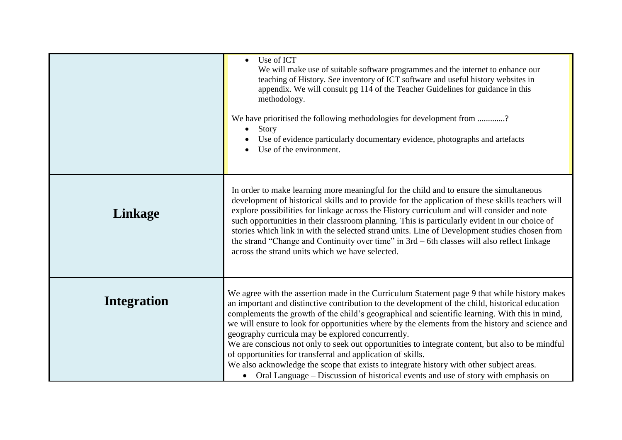|                    | Use of ICT<br>We will make use of suitable software programmes and the internet to enhance our<br>teaching of History. See inventory of ICT software and useful history websites in<br>appendix. We will consult pg 114 of the Teacher Guidelines for guidance in this<br>methodology.<br>We have prioritised the following methodologies for development from ?<br>Story<br>Use of evidence particularly documentary evidence, photographs and artefacts<br>Use of the environment.                                                                                                                                                                                                                                                                                                                            |
|--------------------|-----------------------------------------------------------------------------------------------------------------------------------------------------------------------------------------------------------------------------------------------------------------------------------------------------------------------------------------------------------------------------------------------------------------------------------------------------------------------------------------------------------------------------------------------------------------------------------------------------------------------------------------------------------------------------------------------------------------------------------------------------------------------------------------------------------------|
| Linkage            | In order to make learning more meaningful for the child and to ensure the simultaneous<br>development of historical skills and to provide for the application of these skills teachers will<br>explore possibilities for linkage across the History curriculum and will consider and note<br>such opportunities in their classroom planning. This is particularly evident in our choice of<br>stories which link in with the selected strand units. Line of Development studies chosen from<br>the strand "Change and Continuity over time" in 3rd – 6th classes will also reflect linkage<br>across the strand units which we have selected.                                                                                                                                                                   |
| <b>Integration</b> | We agree with the assertion made in the Curriculum Statement page 9 that while history makes<br>an important and distinctive contribution to the development of the child, historical education<br>complements the growth of the child's geographical and scientific learning. With this in mind,<br>we will ensure to look for opportunities where by the elements from the history and science and<br>geography curricula may be explored concurrently.<br>We are conscious not only to seek out opportunities to integrate content, but also to be mindful<br>of opportunities for transferral and application of skills.<br>We also acknowledge the scope that exists to integrate history with other subject areas.<br>• Oral Language – Discussion of historical events and use of story with emphasis on |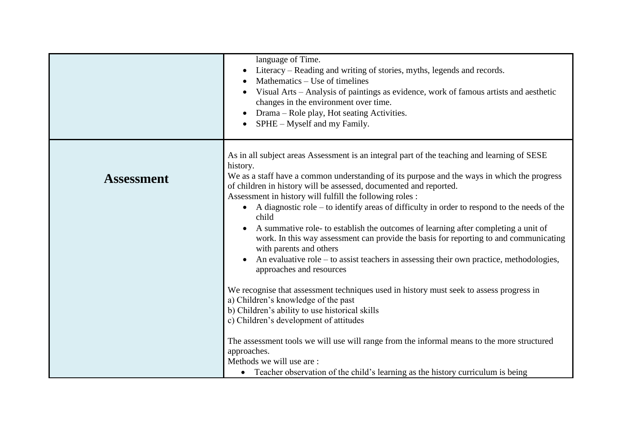|                   | language of Time.<br>Literacy – Reading and writing of stories, myths, legends and records.<br>Mathematics – Use of timelines<br>Visual Arts - Analysis of paintings as evidence, work of famous artists and aesthetic<br>changes in the environment over time.<br>Drama – Role play, Hot seating Activities.<br>SPHE - Myself and my Family.                                                                                                                                                                                                                                                                                                                                                                                                                                                                                                                                                                                                                                                                                                                                                                                                                                                                                                 |
|-------------------|-----------------------------------------------------------------------------------------------------------------------------------------------------------------------------------------------------------------------------------------------------------------------------------------------------------------------------------------------------------------------------------------------------------------------------------------------------------------------------------------------------------------------------------------------------------------------------------------------------------------------------------------------------------------------------------------------------------------------------------------------------------------------------------------------------------------------------------------------------------------------------------------------------------------------------------------------------------------------------------------------------------------------------------------------------------------------------------------------------------------------------------------------------------------------------------------------------------------------------------------------|
| <b>Assessment</b> | As in all subject areas Assessment is an integral part of the teaching and learning of SESE<br>history.<br>We as a staff have a common understanding of its purpose and the ways in which the progress<br>of children in history will be assessed, documented and reported.<br>Assessment in history will fulfill the following roles :<br>• A diagnostic role – to identify areas of difficulty in order to respond to the needs of the<br>child<br>A summative role- to establish the outcomes of learning after completing a unit of<br>work. In this way assessment can provide the basis for reporting to and communicating<br>with parents and others<br>An evaluative role $-$ to assist teachers in assessing their own practice, methodologies,<br>approaches and resources<br>We recognise that assessment techniques used in history must seek to assess progress in<br>a) Children's knowledge of the past<br>b) Children's ability to use historical skills<br>c) Children's development of attitudes<br>The assessment tools we will use will range from the informal means to the more structured<br>approaches.<br>Methods we will use are:<br>Teacher observation of the child's learning as the history curriculum is being |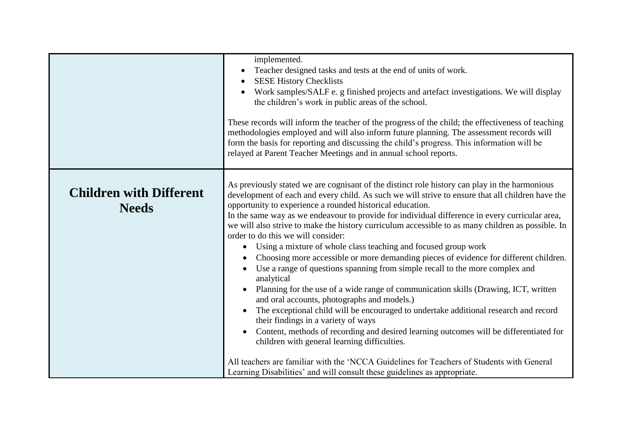|                                                | implemented.<br>Teacher designed tasks and tests at the end of units of work.<br>$\bullet$<br><b>SESE History Checklists</b><br>Work samples/SALF e. g finished projects and artefact investigations. We will display<br>the children's work in public areas of the school.<br>These records will inform the teacher of the progress of the child; the effectiveness of teaching<br>methodologies employed and will also inform future planning. The assessment records will<br>form the basis for reporting and discussing the child's progress. This information will be<br>relayed at Parent Teacher Meetings and in annual school reports.                                                                                                                                                                                                                                                                                                                                                                                                                                                                                                                                                                                                                                                                                                                            |
|------------------------------------------------|---------------------------------------------------------------------------------------------------------------------------------------------------------------------------------------------------------------------------------------------------------------------------------------------------------------------------------------------------------------------------------------------------------------------------------------------------------------------------------------------------------------------------------------------------------------------------------------------------------------------------------------------------------------------------------------------------------------------------------------------------------------------------------------------------------------------------------------------------------------------------------------------------------------------------------------------------------------------------------------------------------------------------------------------------------------------------------------------------------------------------------------------------------------------------------------------------------------------------------------------------------------------------------------------------------------------------------------------------------------------------|
| <b>Children with Different</b><br><b>Needs</b> | As previously stated we are cognisant of the distinct role history can play in the harmonious<br>development of each and every child. As such we will strive to ensure that all children have the<br>opportunity to experience a rounded historical education.<br>In the same way as we endeavour to provide for individual difference in every curricular area,<br>we will also strive to make the history curriculum accessible to as many children as possible. In<br>order to do this we will consider:<br>Using a mixture of whole class teaching and focused group work<br>$\bullet$<br>Choosing more accessible or more demanding pieces of evidence for different children.<br>Use a range of questions spanning from simple recall to the more complex and<br>analytical<br>Planning for the use of a wide range of communication skills (Drawing, ICT, written<br>and oral accounts, photographs and models.)<br>The exceptional child will be encouraged to undertake additional research and record<br>their findings in a variety of ways<br>Content, methods of recording and desired learning outcomes will be differentiated for<br>children with general learning difficulties.<br>All teachers are familiar with the 'NCCA Guidelines for Teachers of Students with General<br>Learning Disabilities' and will consult these guidelines as appropriate. |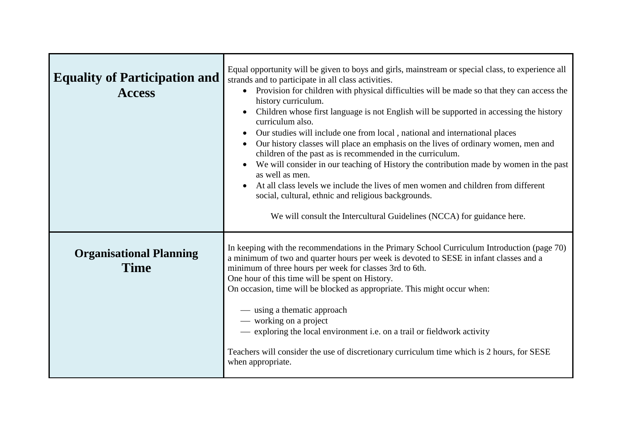| <b>Equality of Participation and</b><br><b>Access</b> | Equal opportunity will be given to boys and girls, mainstream or special class, to experience all<br>strands and to participate in all class activities.<br>Provision for children with physical difficulties will be made so that they can access the<br>$\bullet$<br>history curriculum.<br>Children whose first language is not English will be supported in accessing the history<br>curriculum also.<br>Our studies will include one from local, national and international places<br>Our history classes will place an emphasis on the lives of ordinary women, men and<br>children of the past as is recommended in the curriculum.<br>We will consider in our teaching of History the contribution made by women in the past<br>as well as men.<br>At all class levels we include the lives of men women and children from different<br>social, cultural, ethnic and religious backgrounds.<br>We will consult the Intercultural Guidelines (NCCA) for guidance here. |
|-------------------------------------------------------|-------------------------------------------------------------------------------------------------------------------------------------------------------------------------------------------------------------------------------------------------------------------------------------------------------------------------------------------------------------------------------------------------------------------------------------------------------------------------------------------------------------------------------------------------------------------------------------------------------------------------------------------------------------------------------------------------------------------------------------------------------------------------------------------------------------------------------------------------------------------------------------------------------------------------------------------------------------------------------|
| <b>Organisational Planning</b><br><b>Time</b>         | In keeping with the recommendations in the Primary School Curriculum Introduction (page 70)<br>a minimum of two and quarter hours per week is devoted to SESE in infant classes and a<br>minimum of three hours per week for classes 3rd to 6th.<br>One hour of this time will be spent on History.<br>On occasion, time will be blocked as appropriate. This might occur when:<br>— using a thematic approach<br>— working on a project<br>- exploring the local environment i.e. on a trail or fieldwork activity<br>Teachers will consider the use of discretionary curriculum time which is 2 hours, for SESE<br>when appropriate.                                                                                                                                                                                                                                                                                                                                        |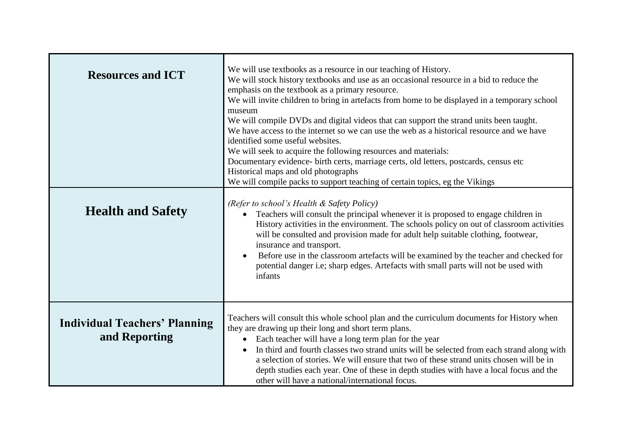| <b>Resources and ICT</b>                              | We will use textbooks as a resource in our teaching of History.<br>We will stock history textbooks and use as an occasional resource in a bid to reduce the<br>emphasis on the textbook as a primary resource.<br>We will invite children to bring in artefacts from home to be displayed in a temporary school<br>museum<br>We will compile DVDs and digital videos that can support the strand units been taught.<br>We have access to the internet so we can use the web as a historical resource and we have<br>identified some useful websites.<br>We will seek to acquire the following resources and materials:<br>Documentary evidence- birth certs, marriage certs, old letters, postcards, census etc<br>Historical maps and old photographs<br>We will compile packs to support teaching of certain topics, eg the Vikings |
|-------------------------------------------------------|---------------------------------------------------------------------------------------------------------------------------------------------------------------------------------------------------------------------------------------------------------------------------------------------------------------------------------------------------------------------------------------------------------------------------------------------------------------------------------------------------------------------------------------------------------------------------------------------------------------------------------------------------------------------------------------------------------------------------------------------------------------------------------------------------------------------------------------|
| <b>Health and Safety</b>                              | (Refer to school's Health & Safety Policy)<br>Teachers will consult the principal whenever it is proposed to engage children in<br>History activities in the environment. The schools policy on out of classroom activities<br>will be consulted and provision made for adult help suitable clothing, footwear,<br>insurance and transport.<br>Before use in the classroom artefacts will be examined by the teacher and checked for<br>$\bullet$<br>potential danger i.e; sharp edges. Artefacts with small parts will not be used with<br>infants                                                                                                                                                                                                                                                                                   |
| <b>Individual Teachers' Planning</b><br>and Reporting | Teachers will consult this whole school plan and the curriculum documents for History when<br>they are drawing up their long and short term plans.<br>Each teacher will have a long term plan for the year<br>In third and fourth classes two strand units will be selected from each strand along with<br>$\bullet$<br>a selection of stories. We will ensure that two of these strand units chosen will be in<br>depth studies each year. One of these in depth studies with have a local focus and the<br>other will have a national/international focus.                                                                                                                                                                                                                                                                          |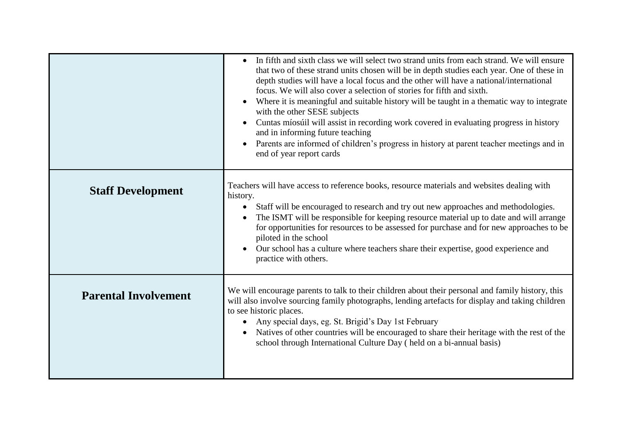|                             | In fifth and sixth class we will select two strand units from each strand. We will ensure<br>that two of these strand units chosen will be in depth studies each year. One of these in<br>depth studies will have a local focus and the other will have a national/international<br>focus. We will also cover a selection of stories for fifth and sixth.<br>Where it is meaningful and suitable history will be taught in a thematic way to integrate<br>with the other SESE subjects<br>Cuntas míosúil will assist in recording work covered in evaluating progress in history<br>and in informing future teaching<br>Parents are informed of children's progress in history at parent teacher meetings and in<br>end of year report cards |
|-----------------------------|----------------------------------------------------------------------------------------------------------------------------------------------------------------------------------------------------------------------------------------------------------------------------------------------------------------------------------------------------------------------------------------------------------------------------------------------------------------------------------------------------------------------------------------------------------------------------------------------------------------------------------------------------------------------------------------------------------------------------------------------|
| <b>Staff Development</b>    | Teachers will have access to reference books, resource materials and websites dealing with<br>history.<br>Staff will be encouraged to research and try out new approaches and methodologies.<br>$\bullet$<br>The ISMT will be responsible for keeping resource material up to date and will arrange<br>for opportunities for resources to be assessed for purchase and for new approaches to be<br>piloted in the school<br>Our school has a culture where teachers share their expertise, good experience and<br>practice with others.                                                                                                                                                                                                      |
| <b>Parental Involvement</b> | We will encourage parents to talk to their children about their personal and family history, this<br>will also involve sourcing family photographs, lending artefacts for display and taking children<br>to see historic places.<br>Any special days, eg. St. Brigid's Day 1st February<br>Natives of other countries will be encouraged to share their heritage with the rest of the<br>school through International Culture Day (held on a bi-annual basis)                                                                                                                                                                                                                                                                                |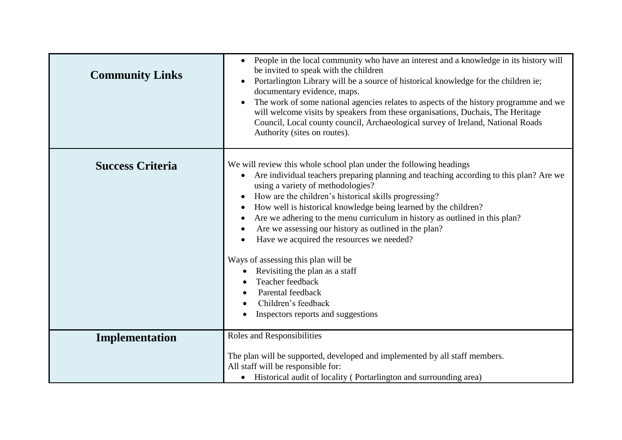| <b>Community Links</b>  | People in the local community who have an interest and a knowledge in its history will<br>$\bullet$<br>be invited to speak with the children<br>Portarlington Library will be a source of historical knowledge for the children ie;<br>$\bullet$<br>documentary evidence, maps.<br>The work of some national agencies relates to aspects of the history programme and we<br>$\bullet$<br>will welcome visits by speakers from these organisations, Duchais, The Heritage<br>Council, Local county council, Archaeological survey of Ireland, National Roads<br>Authority (sites on routes).                                                                                                                                 |
|-------------------------|-----------------------------------------------------------------------------------------------------------------------------------------------------------------------------------------------------------------------------------------------------------------------------------------------------------------------------------------------------------------------------------------------------------------------------------------------------------------------------------------------------------------------------------------------------------------------------------------------------------------------------------------------------------------------------------------------------------------------------|
| <b>Success Criteria</b> | We will review this whole school plan under the following headings<br>Are individual teachers preparing planning and teaching according to this plan? Are we<br>using a variety of methodologies?<br>How are the children's historical skills progressing?<br>How well is historical knowledge being learned by the children?<br>$\bullet$<br>Are we adhering to the menu curriculum in history as outlined in this plan?<br>$\bullet$<br>Are we assessing our history as outlined in the plan?<br>Have we acquired the resources we needed?<br>Ways of assessing this plan will be<br>Revisiting the plan as a staff<br>Teacher feedback<br>Parental feedback<br>Children's feedback<br>Inspectors reports and suggestions |
| Implementation          | Roles and Responsibilities<br>The plan will be supported, developed and implemented by all staff members.<br>All staff will be responsible for:                                                                                                                                                                                                                                                                                                                                                                                                                                                                                                                                                                             |
|                         | Historical audit of locality (Portarlington and surrounding area)                                                                                                                                                                                                                                                                                                                                                                                                                                                                                                                                                                                                                                                           |